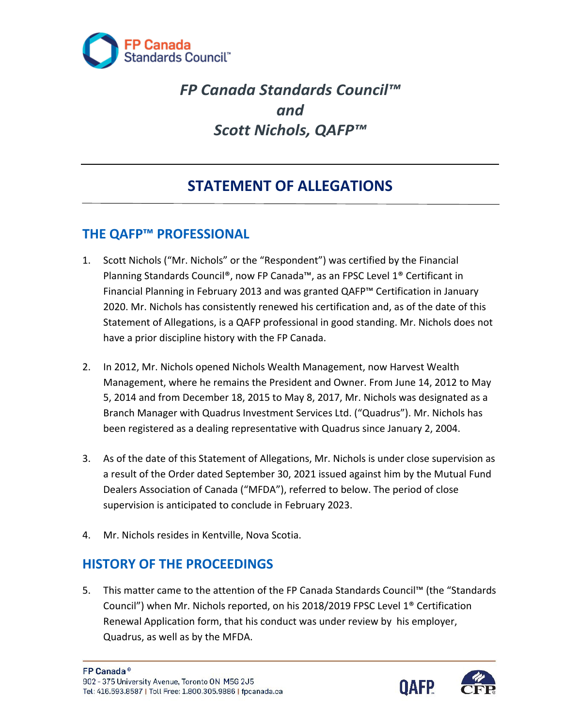

# *FP Canada Standards Council™ and Scott Nichols, QAFP™*

## **STATEMENT OF ALLEGATIONS**

## **THE QAFP™ PROFESSIONAL**

- 1. Scott Nichols ("Mr. Nichols" or the "Respondent") was certified by the Financial Planning Standards Council®, now FP Canada™, as an FPSC Level 1® Certificant in Financial Planning in February 2013 and was granted QAFP™ Certification in January 2020. Mr. Nichols has consistently renewed his certification and, as of the date of this Statement of Allegations, is a QAFP professional in good standing. Mr. Nichols does not have a prior discipline history with the FP Canada.
- 2. In 2012, Mr. Nichols opened Nichols Wealth Management, now Harvest Wealth Management, where he remains the President and Owner. From June 14, 2012 to May 5, 2014 and from December 18, 2015 to May 8, 2017, Mr. Nichols was designated as a Branch Manager with Quadrus Investment Services Ltd. ("Quadrus"). Mr. Nichols has been registered as a dealing representative with Quadrus since January 2, 2004.
- 3. As of the date of this Statement of Allegations, Mr. Nichols is under close supervision as a result of the Order dated September 30, 2021 issued against him by the Mutual Fund Dealers Association of Canada ("MFDA"), referred to below. The period of close supervision is anticipated to conclude in February 2023.
- 4. Mr. Nichols resides in Kentville, Nova Scotia.

### **HISTORY OF THE PROCEEDINGS**

5. This matter came to the attention of the FP Canada Standards Council™ (the "Standards Council") when Mr. Nichols reported, on his 2018/2019 FPSC Level 1® Certification Renewal Application form, that his conduct was under review by his employer, Quadrus, as well as by the MFDA.

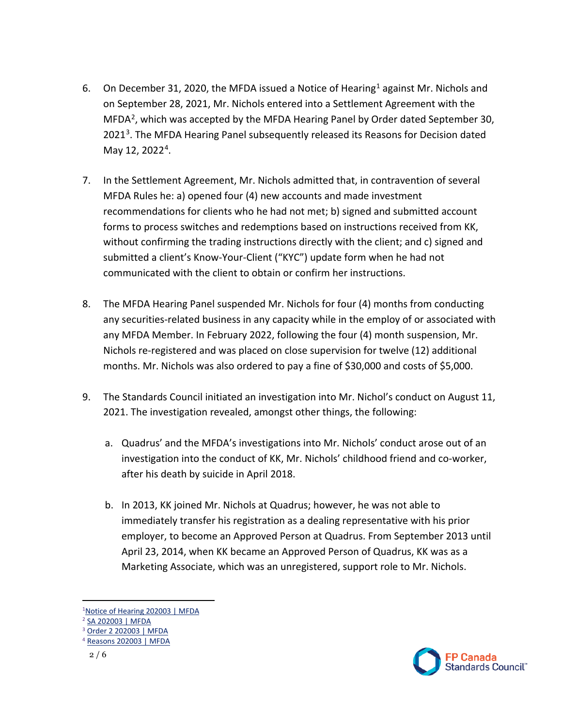- 6. On December 3[1](#page-1-0), 2020, the MFDA issued a Notice of Hearing<sup>1</sup> against Mr. Nichols and on September 28, 2021, Mr. Nichols entered into a Settlement Agreement with the  $MFDA<sup>2</sup>$  $MFDA<sup>2</sup>$  $MFDA<sup>2</sup>$ , which was accepted by the MFDA Hearing Panel by Order dated September 30, 2021<sup>[3](#page-1-2)</sup>. The MFDA Hearing Panel subsequently released its Reasons for Decision dated May 12, 2022<sup>[4](#page-1-3)</sup>.
- 7. In the Settlement Agreement, Mr. Nichols admitted that, in contravention of several MFDA Rules he: a) opened four (4) new accounts and made investment recommendations for clients who he had not met; b) signed and submitted account forms to process switches and redemptions based on instructions received from KK, without confirming the trading instructions directly with the client; and c) signed and submitted a client's Know-Your-Client ("KYC") update form when he had not communicated with the client to obtain or confirm her instructions.
- 8. The MFDA Hearing Panel suspended Mr. Nichols for four (4) months from conducting any securities-related business in any capacity while in the employ of or associated with any MFDA Member. In February 2022, following the four (4) month suspension, Mr. Nichols re-registered and was placed on close supervision for twelve (12) additional months. Mr. Nichols was also ordered to pay a fine of \$30,000 and costs of \$5,000.
- 9. The Standards Council initiated an investigation into Mr. Nichol's conduct on August 11, 2021. The investigation revealed, amongst other things, the following:
	- a. Quadrus' and the MFDA's investigations into Mr. Nichols' conduct arose out of an investigation into the conduct of KK, Mr. Nichols' childhood friend and co-worker, after his death by suicide in April 2018.
	- b. In 2013, KK joined Mr. Nichols at Quadrus; however, he was not able to immediately transfer his registration as a dealing representative with his prior employer, to become an Approved Person at Quadrus. From September 2013 until April 23, 2014, when KK became an Approved Person of Quadrus, KK was as a Marketing Associate, which was an unregistered, support role to Mr. Nichols.



<span id="page-1-0"></span><sup>&</sup>lt;sup>1</sup>Notice of Hearing 202003 | MFDA

<span id="page-1-1"></span><sup>2</sup> [SA 202003 | MFDA](https://mfda.ca/settlement-agreement/sa202003/)

<span id="page-1-2"></span><sup>3</sup> [Order 2 202003 | MFDA](https://mfda.ca/case-order/order2-202003/)

<span id="page-1-3"></span><sup>4</sup> [Reasons 202003 | MFDA](https://mfda.ca/reasons-for-decision/reasons202003/)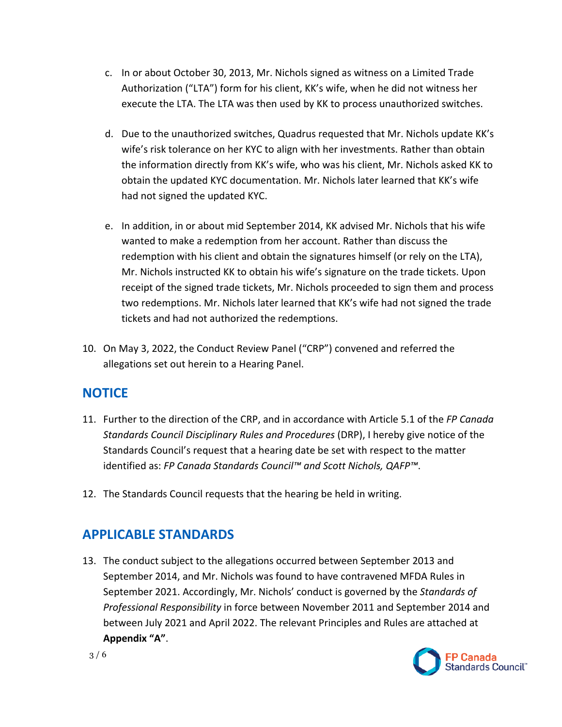- c. In or about October 30, 2013, Mr. Nichols signed as witness on a Limited Trade Authorization ("LTA") form for his client, KK's wife, when he did not witness her execute the LTA. The LTA was then used by KK to process unauthorized switches.
- d. Due to the unauthorized switches, Quadrus requested that Mr. Nichols update KK's wife's risk tolerance on her KYC to align with her investments. Rather than obtain the information directly from KK's wife, who was his client, Mr. Nichols asked KK to obtain the updated KYC documentation. Mr. Nichols later learned that KK's wife had not signed the updated KYC.
- e. In addition, in or about mid September 2014, KK advised Mr. Nichols that his wife wanted to make a redemption from her account. Rather than discuss the redemption with his client and obtain the signatures himself (or rely on the LTA), Mr. Nichols instructed KK to obtain his wife's signature on the trade tickets. Upon receipt of the signed trade tickets, Mr. Nichols proceeded to sign them and process two redemptions. Mr. Nichols later learned that KK's wife had not signed the trade tickets and had not authorized the redemptions.
- 10. On May 3, 2022, the Conduct Review Panel ("CRP") convened and referred the allegations set out herein to a Hearing Panel.

### **NOTICE**

- 11. Further to the direction of the CRP, and in accordance with Article 5.1 of the *FP Canada Standards Council Disciplinary Rules and Procedures* (DRP), I hereby give notice of the Standards Council's request that a hearing date be set with respect to the matter identified as: *FP Canada Standards Council™ and Scott Nichols, QAFP™*.
- 12. The Standards Council requests that the hearing be held in writing.

### **APPLICABLE STANDARDS**

13. The conduct subject to the allegations occurred between September 2013 and September 2014, and Mr. Nichols was found to have contravened MFDA Rules in September 2021. Accordingly, Mr. Nichols' conduct is governed by the *Standards of Professional Responsibility* in force between November 2011 and September 2014 and between July 2021 and April 2022. The relevant Principles and Rules are attached at **Appendix "A"**.

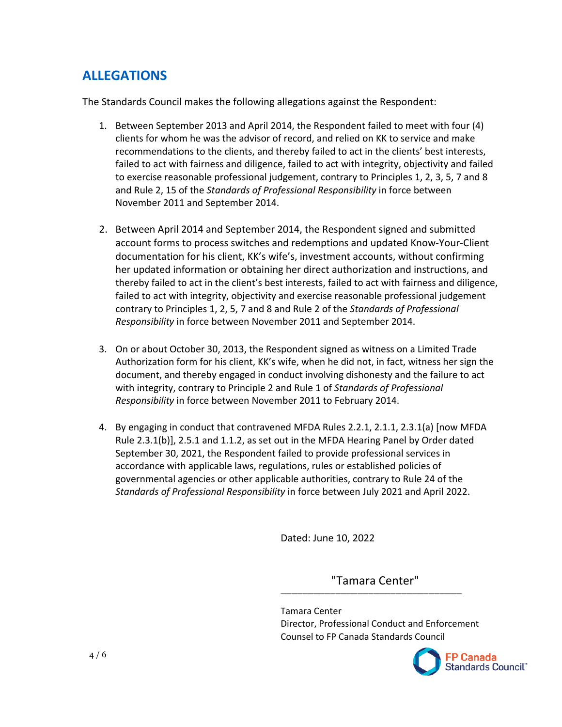### **ALLEGATIONS**

The Standards Council makes the following allegations against the Respondent:

- 1. Between September 2013 and April 2014, the Respondent failed to meet with four (4) clients for whom he was the advisor of record, and relied on KK to service and make recommendations to the clients, and thereby failed to act in the clients' best interests, failed to act with fairness and diligence, failed to act with integrity, objectivity and failed to exercise reasonable professional judgement, contrary to Principles 1, 2, 3, 5, 7 and 8 and Rule 2, 15 of the *Standards of Professional Responsibility* in force between November 2011 and September 2014.
- 2. Between April 2014 and September 2014, the Respondent signed and submitted account forms to process switches and redemptions and updated Know-Your-Client documentation for his client, KK's wife's, investment accounts, without confirming her updated information or obtaining her direct authorization and instructions, and thereby failed to act in the client's best interests, failed to act with fairness and diligence, failed to act with integrity, objectivity and exercise reasonable professional judgement contrary to Principles 1, 2, 5, 7 and 8 and Rule 2 of the *Standards of Professional Responsibility* in force between November 2011 and September 2014.
- 3. On or about October 30, 2013, the Respondent signed as witness on a Limited Trade Authorization form for his client, KK's wife, when he did not, in fact, witness her sign the document, and thereby engaged in conduct involving dishonesty and the failure to act with integrity, contrary to Principle 2 and Rule 1 of *Standards of Professional Responsibility* in force between November 2011 to February 2014.
- 4. By engaging in conduct that contravened MFDA Rules 2.2.1, 2.1.1, 2.3.1(a) [now MFDA Rule 2.3.1(b)], 2.5.1 and 1.1.2, as set out in the MFDA Hearing Panel by Order dated September 30, 2021, the Respondent failed to provide professional services in accordance with applicable laws, regulations, rules or established policies of governmental agencies or other applicable authorities, contrary to Rule 24 of the *Standards of Professional Responsibility* in force between July 2021 and April 2022.

Dated: June 10, 2022

\_\_\_\_\_\_\_\_\_\_\_\_\_\_\_\_\_\_\_\_\_\_\_\_\_\_\_\_\_\_\_\_\_ "Tamara Center"

Tamara Center Director, Professional Conduct and Enforcement Counsel to FP Canada Standards Council

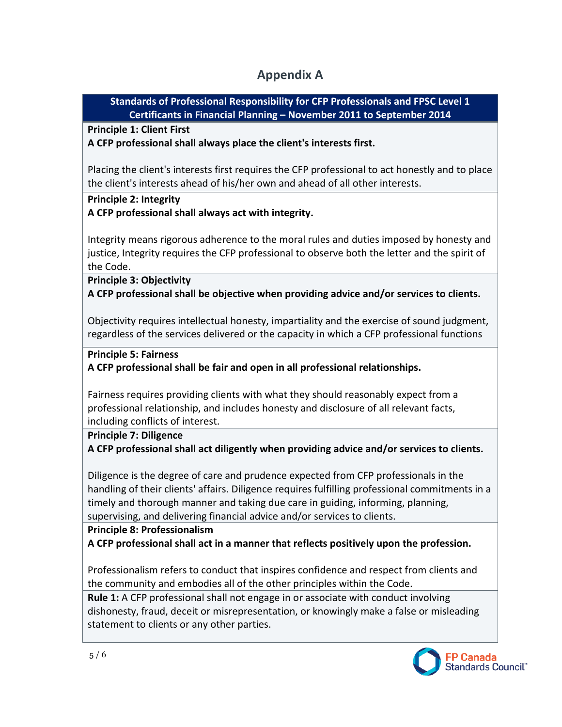### **Appendix A**

**Standards of Professional Responsibility for CFP Professionals and FPSC Level 1 Certificants in Financial Planning – November 2011 to September 2014**

**Principle 1: Client First** 

**A CFP professional shall always place the client's interests first.** 

Placing the client's interests first requires the CFP professional to act honestly and to place the client's interests ahead of his/her own and ahead of all other interests.

#### **Principle 2: Integrity**

**A CFP professional shall always act with integrity.**

Integrity means rigorous adherence to the moral rules and duties imposed by honesty and justice, Integrity requires the CFP professional to observe both the letter and the spirit of the Code.

**Principle 3: Objectivity** 

**A CFP professional shall be objective when providing advice and/or services to clients.**

Objectivity requires intellectual honesty, impartiality and the exercise of sound judgment, regardless of the services delivered or the capacity in which a CFP professional functions

**Principle 5: Fairness**

**A CFP professional shall be fair and open in all professional relationships.** 

Fairness requires providing clients with what they should reasonably expect from a professional relationship, and includes honesty and disclosure of all relevant facts, including conflicts of interest.

#### **Principle 7: Diligence**

**A CFP professional shall act diligently when providing advice and/or services to clients.** 

Diligence is the degree of care and prudence expected from CFP professionals in the handling of their clients' affairs. Diligence requires fulfilling professional commitments in a timely and thorough manner and taking due care in guiding, informing, planning, supervising, and delivering financial advice and/or services to clients.

#### **Principle 8: Professionalism**

**A CFP professional shall act in a manner that reflects positively upon the profession.** 

Professionalism refers to conduct that inspires confidence and respect from clients and the community and embodies all of the other principles within the Code.

**Rule 1:** A CFP professional shall not engage in or associate with conduct involving dishonesty, fraud, deceit or misrepresentation, or knowingly make a false or misleading statement to clients or any other parties.